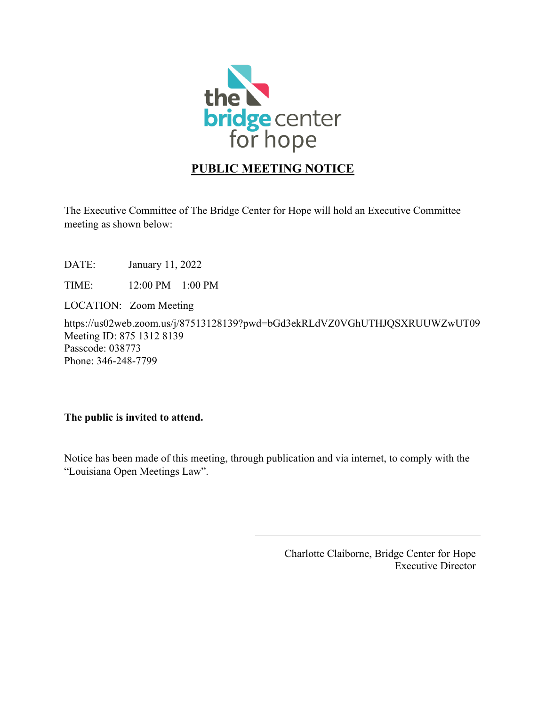

## **PUBLIC MEETING NOTICE**

The Executive Committee of The Bridge Center for Hope will hold an Executive Committee meeting as shown below:

DATE: January 11, 2022

TIME: 12:00 PM – 1:00 PM

LOCATION: Zoom Meeting

https://us02web.zoom.us/j/87513128139?pwd=bGd3ekRLdVZ0VGhUTHJQSXRUUWZwUT09 Meeting ID: 875 1312 8139 Passcode: 038773 Phone: 346-248-7799

## **The public is invited to attend.**

Notice has been made of this meeting, through publication and via internet, to comply with the "Louisiana Open Meetings Law".

> Charlotte Claiborne, Bridge Center for Hope Executive Director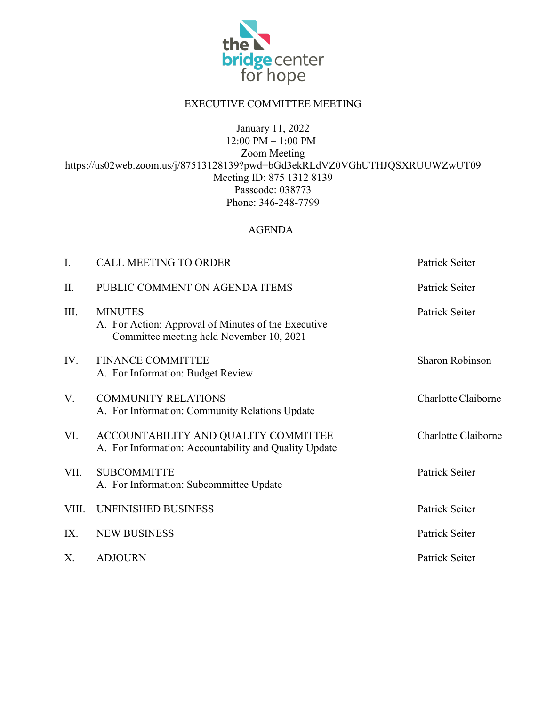

## EXECUTIVE COMMITTEE MEETING

January 11, 2022

12:00 PM – 1:00 PM Zoom Meeting https://us02web.zoom.us/j/87513128139?pwd=bGd3ekRLdVZ0VGhUTHJQSXRUUWZwUT09 Meeting ID: 875 1312 8139 Passcode: 038773 Phone: 346-248-7799

## AGENDA

| I.    | <b>CALL MEETING TO ORDER</b>                                                                                      | Patrick Seiter         |
|-------|-------------------------------------------------------------------------------------------------------------------|------------------------|
| Π.    | PUBLIC COMMENT ON AGENDA ITEMS                                                                                    | Patrick Seiter         |
| III.  | <b>MINUTES</b><br>A. For Action: Approval of Minutes of the Executive<br>Committee meeting held November 10, 2021 | Patrick Seiter         |
| IV.   | <b>FINANCE COMMITTEE</b><br>A. For Information: Budget Review                                                     | <b>Sharon Robinson</b> |
| V.    | <b>COMMUNITY RELATIONS</b><br>A. For Information: Community Relations Update                                      | Charlotte Claiborne    |
| VI.   | ACCOUNTABILITY AND QUALITY COMMITTEE<br>A. For Information: Accountability and Quality Update                     | Charlotte Claiborne    |
| VII.  | <b>SUBCOMMITTE</b><br>A. For Information: Subcommittee Update                                                     | Patrick Seiter         |
| VIII. | UNFINISHED BUSINESS                                                                                               | Patrick Seiter         |
| IX.   | <b>NEW BUSINESS</b>                                                                                               | Patrick Seiter         |
| Χ.    | <b>ADJOURN</b>                                                                                                    | Patrick Seiter         |
|       |                                                                                                                   |                        |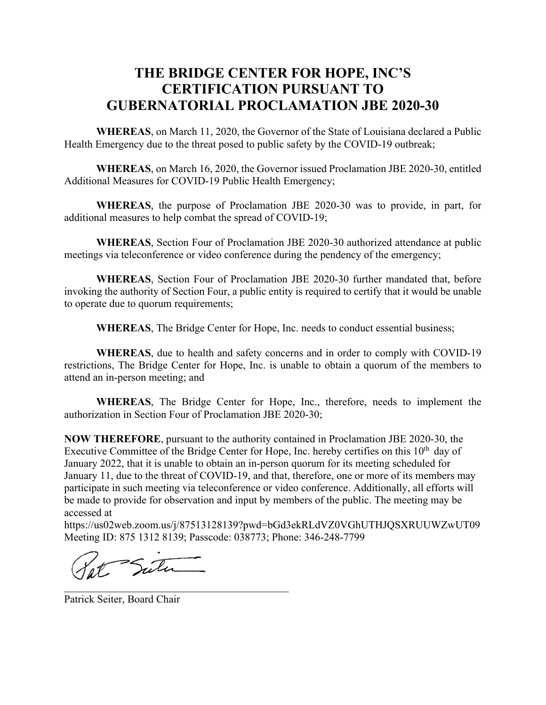# **THE BRIDGE CENTER FOR HOPE, INC'S CERTIFICATION PURSUANT TO GUBERNATORIAL PROCLAMATION JBE 2020-30**

**WHEREAS**, on March 11, 2020, the Governor of the State of Louisiana declared a Public Health Emergency due to the threat posed to public safety by the COVID-19 outbreak;

**WHEREAS**, on March 16, 2020, the Governor issued Proclamation JBE 2020-30, entitled Additional Measures for COVID-19 Public Health Emergency;

**WHEREAS**, the purpose of Proclamation JBE 2020-30 was to provide, in part, for additional measures to help combat the spread of COVID-19;

**WHEREAS**, Section Four of Proclamation JBE 2020-30 authorized attendance at public meetings via teleconference or video conference during the pendency of the emergency;

**WHEREAS**, Section Four of Proclamation JBE 2020-30 further mandated that, before invoking the authority of Section Four, a public entity is required to certify that it would be unable to operate due to quorum requirements;

**WHEREAS**, The Bridge Center for Hope, Inc. needs to conduct essential business;

**WHEREAS**, due to health and safety concerns and in order to comply with COVID-19 restrictions, The Bridge Center for Hope, Inc. is unable to obtain a quorum of the members to attend an in-person meeting; and

**WHEREAS**, The Bridge Center for Hope, Inc., therefore, needs to implement the authorization in Section Four of Proclamation JBE 2020-30;

**NOW THEREFORE**, pursuant to the authority contained in Proclamation JBE 2020-30, the Executive Committee of the Bridge Center for Hope, Inc. hereby certifies on this  $10<sup>th</sup>$  day of January 2022, that it is unable to obtain an in-person quorum for its meeting scheduled for January 11, due to the threat of COVID-19, and that, therefore, one or more of its members may participate in such meeting via teleconference or video conference. Additionally, all efforts will be made to provide for observation and input by members of the public. The meeting may be accessed at

https://us02web.zoom.us/j/87513128139?pwd=bGd3ekRLdVZ0VGhUTHJQSXRUUWZwUT09 Meeting ID: 875 1312 8139; Passcode: 038773; Phone: 346-248-7799

Sutu

Patrick Seiter, Board Chair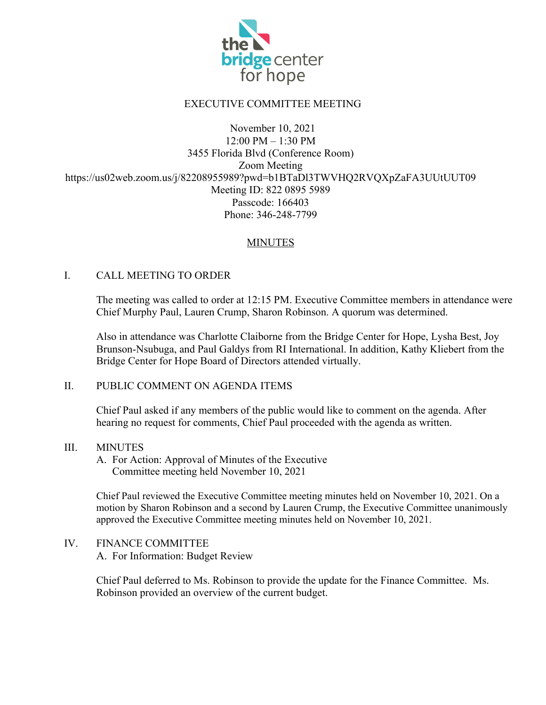

## EXECUTIVE COMMITTEE MEETING

#### November 10, 2021 12:00 PM – 1:30 PM 3455 Florida Blvd (Conference Room) Zoom Meeting https://us02web.zoom.us/j/82208955989?pwd=b1BTaDl3TWVHQ2RVQXpZaFA3UUtUUT09 Meeting ID: 822 0895 5989 Passcode: 166403 Phone: 346-248-7799

## **MINUTES**

#### I. CALL MEETING TO ORDER

The meeting was called to order at 12:15 PM. Executive Committee members in attendance were Chief Murphy Paul, Lauren Crump, Sharon Robinson. A quorum was determined.

Also in attendance was Charlotte Claiborne from the Bridge Center for Hope, Lysha Best, Joy Brunson-Nsubuga, and Paul Galdys from RI International. In addition, Kathy Kliebert from the Bridge Center for Hope Board of Directors attended virtually.

#### II. PUBLIC COMMENT ON AGENDA ITEMS

Chief Paul asked if any members of the public would like to comment on the agenda. After hearing no request for comments, Chief Paul proceeded with the agenda as written.

#### III. MINUTES

A. For Action: Approval of Minutes of the Executive Committee meeting held November 10, 2021

Chief Paul reviewed the Executive Committee meeting minutes held on November 10, 2021. On a motion by Sharon Robinson and a second by Lauren Crump, the Executive Committee unanimously approved the Executive Committee meeting minutes held on November 10, 2021.

#### IV. FINANCE COMMITTEE

A. For Information: Budget Review

Chief Paul deferred to Ms. Robinson to provide the update for the Finance Committee. Ms. Robinson provided an overview of the current budget.